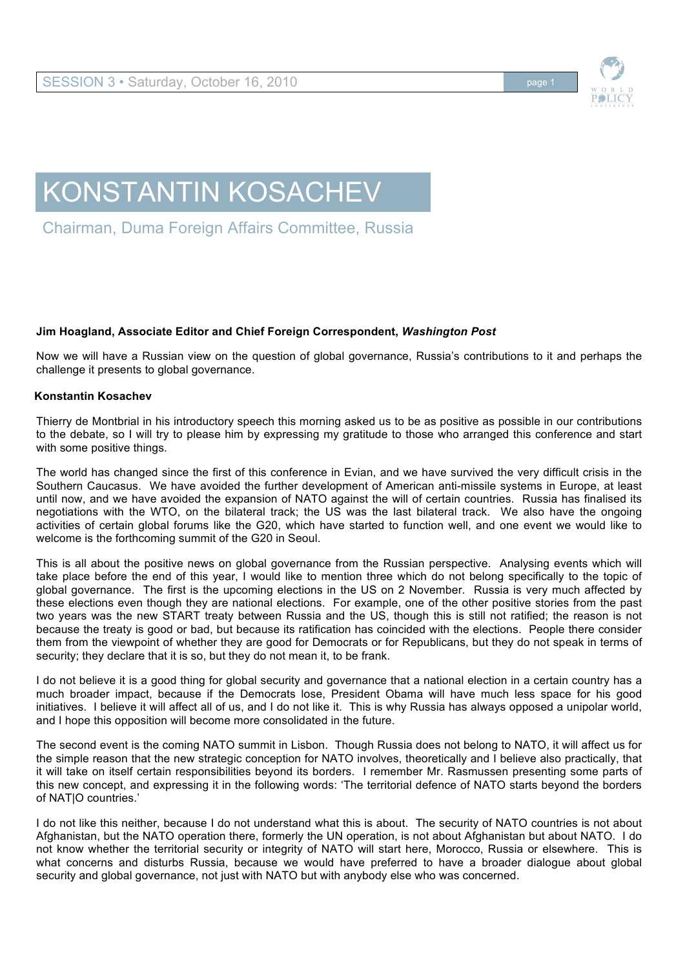

## KONSTANTIN KOSACHEV

Chairman, Duma Foreign Affairs Committee, Russia

## **Jim Hoagland, Associate Editor and Chief Foreign Correspondent,** *Washington Post*

Now we will have a Russian view on the question of global governance, Russia's contributions to it and perhaps the challenge it presents to global governance.

## **Konstantin Kosachev**

Thierry de Montbrial in his introductory speech this morning asked us to be as positive as possible in our contributions to the debate, so I will try to please him by expressing my gratitude to those who arranged this conference and start with some positive things.

The world has changed since the first of this conference in Evian, and we have survived the very difficult crisis in the Southern Caucasus. We have avoided the further development of American anti-missile systems in Europe, at least until now, and we have avoided the expansion of NATO against the will of certain countries. Russia has finalised its negotiations with the WTO, on the bilateral track; the US was the last bilateral track. We also have the ongoing activities of certain global forums like the G20, which have started to function well, and one event we would like to welcome is the forthcoming summit of the G20 in Seoul.

This is all about the positive news on global governance from the Russian perspective. Analysing events which will take place before the end of this year, I would like to mention three which do not belong specifically to the topic of global governance. The first is the upcoming elections in the US on 2 November. Russia is very much affected by these elections even though they are national elections. For example, one of the other positive stories from the past two years was the new START treaty between Russia and the US, though this is still not ratified; the reason is not because the treaty is good or bad, but because its ratification has coincided with the elections. People there consider them from the viewpoint of whether they are good for Democrats or for Republicans, but they do not speak in terms of security; they declare that it is so, but they do not mean it, to be frank.

I do not believe it is a good thing for global security and governance that a national election in a certain country has a much broader impact, because if the Democrats lose, President Obama will have much less space for his good initiatives. I believe it will affect all of us, and I do not like it. This is why Russia has always opposed a unipolar world, and I hope this opposition will become more consolidated in the future.

The second event is the coming NATO summit in Lisbon. Though Russia does not belong to NATO, it will affect us for the simple reason that the new strategic conception for NATO involves, theoretically and I believe also practically, that it will take on itself certain responsibilities beyond its borders. I remember Mr. Rasmussen presenting some parts of this new concept, and expressing it in the following words: 'The territorial defence of NATO starts beyond the borders of NAT|O countries.'

I do not like this neither, because I do not understand what this is about. The security of NATO countries is not about Afghanistan, but the NATO operation there, formerly the UN operation, is not about Afghanistan but about NATO. I do not know whether the territorial security or integrity of NATO will start here, Morocco, Russia or elsewhere. This is what concerns and disturbs Russia, because we would have preferred to have a broader dialogue about global security and global governance, not just with NATO but with anybody else who was concerned.